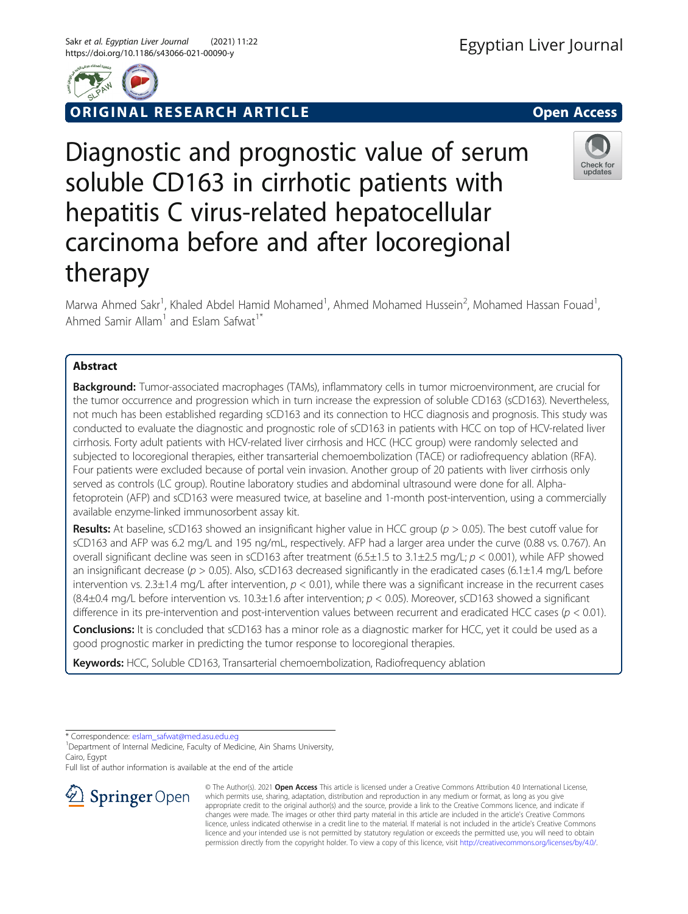

RIGINAL RESEARCH ARTICLE **And Contact Access** open Access

Diagnostic and prognostic value of serum soluble CD163 in cirrhotic patients with hepatitis C virus-related hepatocellular carcinoma before and after locoregional therapy

Marwa Ahmed Sakr<sup>1</sup>, Khaled Abdel Hamid Mohamed<sup>1</sup>, Ahmed Mohamed Hussein<sup>2</sup>, Mohamed Hassan Fouad<sup>1</sup> , Ahmed Samir Allam<sup>1</sup> and Eslam Safwat<sup>1\*</sup>

# Abstract

**Background:** Tumor-associated macrophages (TAMs), inflammatory cells in tumor microenvironment, are crucial for the tumor occurrence and progression which in turn increase the expression of soluble CD163 (sCD163). Nevertheless, not much has been established regarding sCD163 and its connection to HCC diagnosis and prognosis. This study was conducted to evaluate the diagnostic and prognostic role of sCD163 in patients with HCC on top of HCV-related liver cirrhosis. Forty adult patients with HCV-related liver cirrhosis and HCC (HCC group) were randomly selected and subjected to locoregional therapies, either transarterial chemoembolization (TACE) or radiofrequency ablation (RFA). Four patients were excluded because of portal vein invasion. Another group of 20 patients with liver cirrhosis only served as controls (LC group). Routine laboratory studies and abdominal ultrasound were done for all. Alphafetoprotein (AFP) and sCD163 were measured twice, at baseline and 1-month post-intervention, using a commercially available enzyme-linked immunosorbent assay kit.

Results: At baseline, sCD163 showed an insignificant higher value in HCC group ( $p > 0.05$ ). The best cutoff value for sCD163 and AFP was 6.2 mg/L and 195 ng/mL, respectively. AFP had a larger area under the curve (0.88 vs. 0.767). An overall significant decline was seen in sCD163 after treatment  $(6.5\pm1.5 \text{ to } 3.1\pm2.5 \text{ mg/L}; p < 0.001)$ , while AFP showed an insignificant decrease ( $p > 0.05$ ). Also, sCD163 decreased significantly in the eradicated cases (6.1 $\pm$ 1.4 mg/L before intervention vs. 2.3 $\pm$ 1.4 mg/L after intervention,  $p < 0.01$ ), while there was a significant increase in the recurrent cases  $(8.4\pm0.4 \text{ m})$ L before intervention vs. 10.3 $\pm$ 1.6 after intervention;  $p < 0.05$ ). Moreover, sCD163 showed a significant difference in its pre-intervention and post-intervention values between recurrent and eradicated HCC cases ( $p < 0.01$ ).

Conclusions: It is concluded that sCD163 has a minor role as a diagnostic marker for HCC, yet it could be used as a good prognostic marker in predicting the tumor response to locoregional therapies.

Keywords: HCC, Soluble CD163, Transarterial chemoembolization, Radiofrequency ablation

\* Correspondence: [eslam\\_safwat@med.asu.edu.eg](mailto:eslam_safwat@med.asu.edu.eg) <sup>1</sup>

<sup>1</sup> Department of Internal Medicine, Faculty of Medicine, Ain Shams University, Cairo, Egypt

Full list of author information is available at the end of the article





© The Author(s). 2021 Open Access This article is licensed under a Creative Commons Attribution 4.0 International License, which permits use, sharing, adaptation, distribution and reproduction in any medium or format, as long as you give appropriate credit to the original author(s) and the source, provide a link to the Creative Commons licence, and indicate if changes were made. The images or other third party material in this article are included in the article's Creative Commons licence, unless indicated otherwise in a credit line to the material. If material is not included in the article's Creative Commons licence and your intended use is not permitted by statutory regulation or exceeds the permitted use, you will need to obtain permission directly from the copyright holder. To view a copy of this licence, visit <http://creativecommons.org/licenses/by/4.0/>.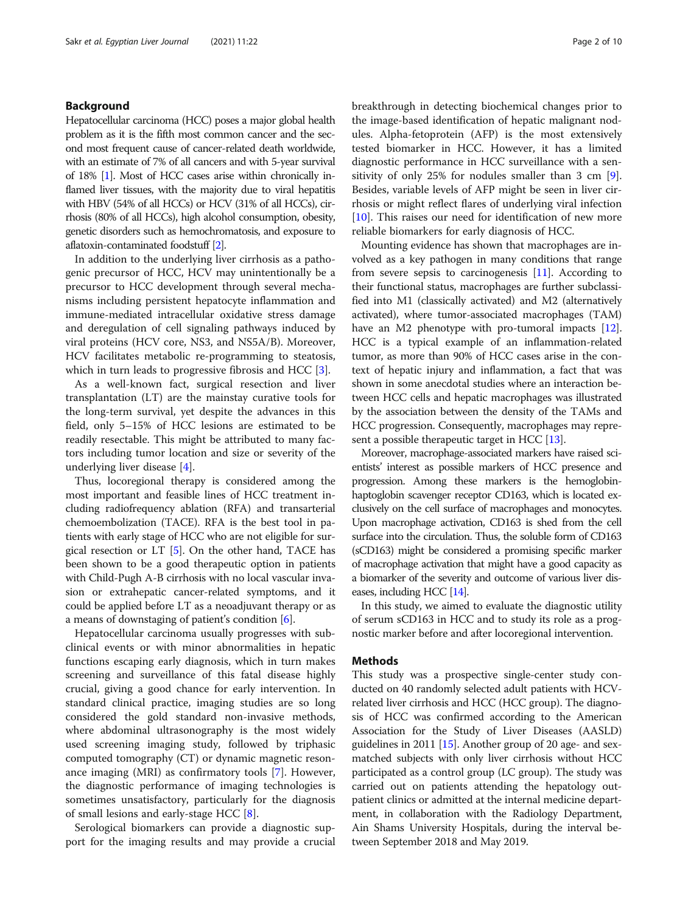# Background

Hepatocellular carcinoma (HCC) poses a major global health problem as it is the fifth most common cancer and the second most frequent cause of cancer-related death worldwide, with an estimate of 7% of all cancers and with 5-year survival of 18% [\[1\]](#page-8-0). Most of HCC cases arise within chronically inflamed liver tissues, with the majority due to viral hepatitis with HBV (54% of all HCCs) or HCV (31% of all HCCs), cirrhosis (80% of all HCCs), high alcohol consumption, obesity, genetic disorders such as hemochromatosis, and exposure to aflatoxin-contaminated foodstuff [[2](#page-8-0)].

In addition to the underlying liver cirrhosis as a pathogenic precursor of HCC, HCV may unintentionally be a precursor to HCC development through several mechanisms including persistent hepatocyte inflammation and immune-mediated intracellular oxidative stress damage and deregulation of cell signaling pathways induced by viral proteins (HCV core, NS3, and NS5A/B). Moreover, HCV facilitates metabolic re-programming to steatosis, which in turn leads to progressive fibrosis and HCC [\[3](#page-8-0)].

As a well-known fact, surgical resection and liver transplantation (LT) are the mainstay curative tools for the long-term survival, yet despite the advances in this field, only 5–15% of HCC lesions are estimated to be readily resectable. This might be attributed to many factors including tumor location and size or severity of the underlying liver disease [[4\]](#page-8-0).

Thus, locoregional therapy is considered among the most important and feasible lines of HCC treatment including radiofrequency ablation (RFA) and transarterial chemoembolization (TACE). RFA is the best tool in patients with early stage of HCC who are not eligible for surgical resection or  $LT$  [\[5\]](#page-8-0). On the other hand, TACE has been shown to be a good therapeutic option in patients with Child-Pugh A-B cirrhosis with no local vascular invasion or extrahepatic cancer-related symptoms, and it could be applied before LT as a neoadjuvant therapy or as a means of downstaging of patient's condition  $[6]$  $[6]$  $[6]$ .

Hepatocellular carcinoma usually progresses with subclinical events or with minor abnormalities in hepatic functions escaping early diagnosis, which in turn makes screening and surveillance of this fatal disease highly crucial, giving a good chance for early intervention. In standard clinical practice, imaging studies are so long considered the gold standard non-invasive methods, where abdominal ultrasonography is the most widely used screening imaging study, followed by triphasic computed tomography (CT) or dynamic magnetic resonance imaging (MRI) as confirmatory tools [\[7\]](#page-9-0). However, the diagnostic performance of imaging technologies is sometimes unsatisfactory, particularly for the diagnosis of small lesions and early-stage HCC [[8\]](#page-9-0).

Serological biomarkers can provide a diagnostic support for the imaging results and may provide a crucial breakthrough in detecting biochemical changes prior to the image-based identification of hepatic malignant nodules. Alpha-fetoprotein (AFP) is the most extensively tested biomarker in HCC. However, it has a limited diagnostic performance in HCC surveillance with a sensitivity of only 25% for nodules smaller than 3 cm [\[9](#page-9-0)]. Besides, variable levels of AFP might be seen in liver cirrhosis or might reflect flares of underlying viral infection [[10\]](#page-9-0). This raises our need for identification of new more reliable biomarkers for early diagnosis of HCC.

Mounting evidence has shown that macrophages are involved as a key pathogen in many conditions that range from severe sepsis to carcinogenesis [\[11](#page-9-0)]. According to their functional status, macrophages are further subclassified into M1 (classically activated) and M2 (alternatively activated), where tumor-associated macrophages (TAM) have an M2 phenotype with pro-tumoral impacts [[12](#page-9-0)]. HCC is a typical example of an inflammation-related tumor, as more than 90% of HCC cases arise in the context of hepatic injury and inflammation, a fact that was shown in some anecdotal studies where an interaction between HCC cells and hepatic macrophages was illustrated by the association between the density of the TAMs and HCC progression. Consequently, macrophages may repre-sent a possible therapeutic target in HCC [\[13\]](#page-9-0).

Moreover, macrophage-associated markers have raised scientists' interest as possible markers of HCC presence and progression. Among these markers is the hemoglobinhaptoglobin scavenger receptor CD163, which is located exclusively on the cell surface of macrophages and monocytes. Upon macrophage activation, CD163 is shed from the cell surface into the circulation. Thus, the soluble form of CD163 (sCD163) might be considered a promising specific marker of macrophage activation that might have a good capacity as a biomarker of the severity and outcome of various liver diseases, including HCC [\[14](#page-9-0)].

In this study, we aimed to evaluate the diagnostic utility of serum sCD163 in HCC and to study its role as a prognostic marker before and after locoregional intervention.

# Methods

This study was a prospective single-center study conducted on 40 randomly selected adult patients with HCVrelated liver cirrhosis and HCC (HCC group). The diagnosis of HCC was confirmed according to the American Association for the Study of Liver Diseases (AASLD) guidelines in 2011 [[15\]](#page-9-0). Another group of 20 age- and sexmatched subjects with only liver cirrhosis without HCC participated as a control group (LC group). The study was carried out on patients attending the hepatology outpatient clinics or admitted at the internal medicine department, in collaboration with the Radiology Department, Ain Shams University Hospitals, during the interval between September 2018 and May 2019.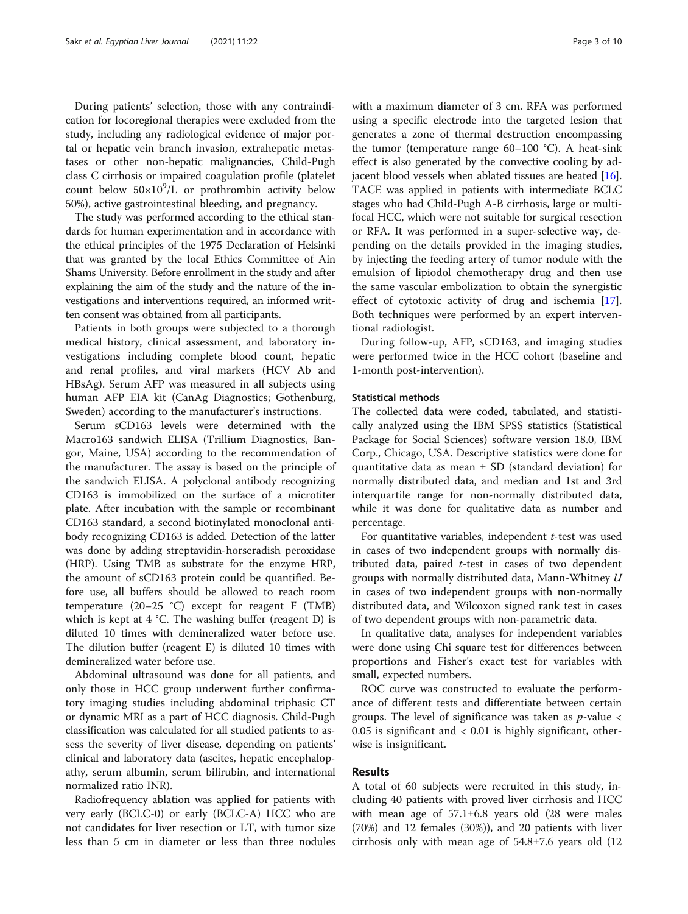During patients' selection, those with any contraindication for locoregional therapies were excluded from the study, including any radiological evidence of major portal or hepatic vein branch invasion, extrahepatic metastases or other non-hepatic malignancies, Child-Pugh class C cirrhosis or impaired coagulation profile (platelet count below  $50\times10^{9}$ /L or prothrombin activity below 50%), active gastrointestinal bleeding, and pregnancy.

The study was performed according to the ethical standards for human experimentation and in accordance with the ethical principles of the 1975 Declaration of Helsinki that was granted by the local Ethics Committee of Ain Shams University. Before enrollment in the study and after explaining the aim of the study and the nature of the investigations and interventions required, an informed written consent was obtained from all participants.

Patients in both groups were subjected to a thorough medical history, clinical assessment, and laboratory investigations including complete blood count, hepatic and renal profiles, and viral markers (HCV Ab and HBsAg). Serum AFP was measured in all subjects using human AFP EIA kit (CanAg Diagnostics; Gothenburg, Sweden) according to the manufacturer's instructions.

Serum sCD163 levels were determined with the Macro163 sandwich ELISA (Trillium Diagnostics, Bangor, Maine, USA) according to the recommendation of the manufacturer. The assay is based on the principle of the sandwich ELISA. A polyclonal antibody recognizing CD163 is immobilized on the surface of a microtiter plate. After incubation with the sample or recombinant CD163 standard, a second biotinylated monoclonal antibody recognizing CD163 is added. Detection of the latter was done by adding streptavidin-horseradish peroxidase (HRP). Using TMB as substrate for the enzyme HRP, the amount of sCD163 protein could be quantified. Before use, all buffers should be allowed to reach room temperature  $(20-25 \text{ °C})$  except for reagent F (TMB) which is kept at 4 °C. The washing buffer (reagent D) is diluted 10 times with demineralized water before use. The dilution buffer (reagent E) is diluted 10 times with demineralized water before use.

Abdominal ultrasound was done for all patients, and only those in HCC group underwent further confirmatory imaging studies including abdominal triphasic CT or dynamic MRI as a part of HCC diagnosis. Child-Pugh classification was calculated for all studied patients to assess the severity of liver disease, depending on patients' clinical and laboratory data (ascites, hepatic encephalopathy, serum albumin, serum bilirubin, and international normalized ratio INR).

Radiofrequency ablation was applied for patients with very early (BCLC-0) or early (BCLC-A) HCC who are not candidates for liver resection or LT, with tumor size less than 5 cm in diameter or less than three nodules with a maximum diameter of 3 cm. RFA was performed using a specific electrode into the targeted lesion that generates a zone of thermal destruction encompassing the tumor (temperature range 60–100 °C). A heat-sink effect is also generated by the convective cooling by adjacent blood vessels when ablated tissues are heated [\[16](#page-9-0)]. TACE was applied in patients with intermediate BCLC stages who had Child-Pugh A-B cirrhosis, large or multifocal HCC, which were not suitable for surgical resection or RFA. It was performed in a super-selective way, depending on the details provided in the imaging studies, by injecting the feeding artery of tumor nodule with the emulsion of lipiodol chemotherapy drug and then use the same vascular embolization to obtain the synergistic effect of cytotoxic activity of drug and ischemia [\[17](#page-9-0)]. Both techniques were performed by an expert interventional radiologist.

During follow-up, AFP, sCD163, and imaging studies were performed twice in the HCC cohort (baseline and 1-month post-intervention).

## Statistical methods

The collected data were coded, tabulated, and statistically analyzed using the IBM SPSS statistics (Statistical Package for Social Sciences) software version 18.0, IBM Corp., Chicago, USA. Descriptive statistics were done for quantitative data as mean  $\pm$  SD (standard deviation) for normally distributed data, and median and 1st and 3rd interquartile range for non-normally distributed data, while it was done for qualitative data as number and percentage.

For quantitative variables, independent t-test was used in cases of two independent groups with normally distributed data, paired  $t$ -test in cases of two dependent groups with normally distributed data, Mann-Whitney U in cases of two independent groups with non-normally distributed data, and Wilcoxon signed rank test in cases of two dependent groups with non-parametric data.

In qualitative data, analyses for independent variables were done using Chi square test for differences between proportions and Fisher's exact test for variables with small, expected numbers.

ROC curve was constructed to evaluate the performance of different tests and differentiate between certain groups. The level of significance was taken as  $p$ -value <  $0.05$  is significant and  $< 0.01$  is highly significant, otherwise is insignificant.

# Results

A total of 60 subjects were recruited in this study, including 40 patients with proved liver cirrhosis and HCC with mean age of 57.1±6.8 years old (28 were males (70%) and 12 females (30%)), and 20 patients with liver cirrhosis only with mean age of 54.8±7.6 years old (12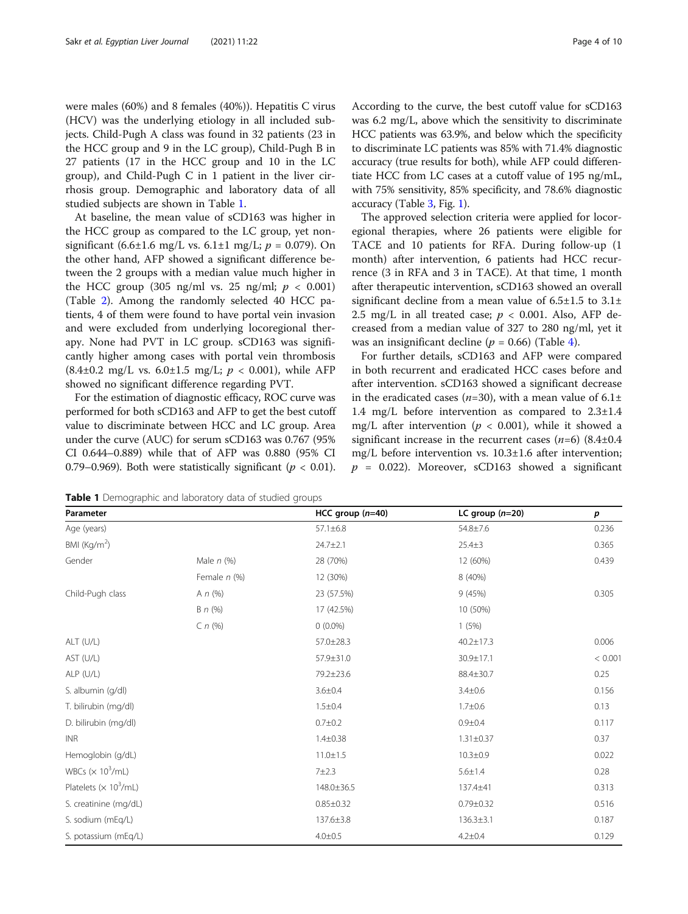were males (60%) and 8 females (40%)). Hepatitis C virus (HCV) was the underlying etiology in all included subjects. Child-Pugh A class was found in 32 patients (23 in the HCC group and 9 in the LC group), Child-Pugh B in 27 patients (17 in the HCC group and 10 in the LC group), and Child-Pugh C in 1 patient in the liver cirrhosis group. Demographic and laboratory data of all studied subjects are shown in Table 1.

At baseline, the mean value of sCD163 was higher in the HCC group as compared to the LC group, yet nonsignificant (6.6±1.6 mg/L vs. 6.1±1 mg/L;  $p = 0.079$ ). On the other hand, AFP showed a significant difference between the 2 groups with a median value much higher in the HCC group (305 ng/ml vs. 25 ng/ml;  $p < 0.001$ ) (Table [2\)](#page-4-0). Among the randomly selected 40 HCC patients, 4 of them were found to have portal vein invasion and were excluded from underlying locoregional therapy. None had PVT in LC group. sCD163 was significantly higher among cases with portal vein thrombosis  $(8.4\pm0.2 \text{ mg/L vs. } 6.0\pm1.5 \text{ mg/L}; p < 0.001)$ , while AFP showed no significant difference regarding PVT.

For the estimation of diagnostic efficacy, ROC curve was performed for both sCD163 and AFP to get the best cutoff value to discriminate between HCC and LC group. Area under the curve (AUC) for serum sCD163 was 0.767 (95% CI 0.644–0.889) while that of AFP was 0.880 (95% CI 0.79–0.969). Both were statistically significant ( $p < 0.01$ ). According to the curve, the best cutoff value for sCD163 was 6.2 mg/L, above which the sensitivity to discriminate HCC patients was 63.9%, and below which the specificity to discriminate LC patients was 85% with 71.4% diagnostic accuracy (true results for both), while AFP could differentiate HCC from LC cases at a cutoff value of 195 ng/mL, with 75% sensitivity, 85% specificity, and 78.6% diagnostic accuracy (Table [3](#page-4-0), Fig. [1](#page-5-0)).

The approved selection criteria were applied for locoregional therapies, where 26 patients were eligible for TACE and 10 patients for RFA. During follow-up (1 month) after intervention, 6 patients had HCC recurrence (3 in RFA and 3 in TACE). At that time, 1 month after therapeutic intervention, sCD163 showed an overall significant decline from a mean value of  $6.5\pm1.5$  to  $3.1\pm$ 2.5 mg/L in all treated case;  $p < 0.001$ . Also, AFP decreased from a median value of 327 to 280 ng/ml, yet it was an insignificant decline ( $p = 0.66$ ) (Table [4\)](#page-5-0).

For further details, sCD163 and AFP were compared in both recurrent and eradicated HCC cases before and after intervention. sCD163 showed a significant decrease in the eradicated cases ( $n=30$ ), with a mean value of  $6.1\pm$ 1.4 mg/L before intervention as compared to 2.3±1.4 mg/L after intervention ( $p < 0.001$ ), while it showed a significant increase in the recurrent cases  $(n=6)$  (8.4 $\pm$ 0.4 mg/L before intervention vs. 10.3±1.6 after intervention;  $p = 0.022$ ). Moreover, sCD163 showed a significant

Table 1 Demographic and laboratory data of studied groups

| Parameter                                 |                 | HCC group $(n=40)$ | LC group $(n=20)$ | $\boldsymbol{p}$ |
|-------------------------------------------|-----------------|--------------------|-------------------|------------------|
| Age (years)                               |                 | $57.1 \pm 6.8$     | 54.8±7.6          | 0.236            |
| BMI $(Kg/m2)$                             |                 | 24.7±2.1           | $25.4 \pm 3$      | 0.365            |
| Gender                                    | Male $n$ (%)    | 28 (70%)           | 12 (60%)          | 0.439            |
|                                           | Female n (%)    | 12 (30%)           | 8 (40%)           |                  |
| Child-Pugh class                          | A $n$ (%)       | 23 (57.5%)         | 9(45%)            | 0.305            |
|                                           | $B \nmid n (%)$ | 17 (42.5%)         | 10 (50%)          |                  |
|                                           | $C \cap (\% )$  | $0(0.0\%)$         | 1(5%)             |                  |
| ALT (U/L)                                 |                 | 57.0±28.3          | $40.2 \pm 17.3$   | 0.006            |
| AST (U/L)                                 |                 | 57.9±31.0          | 30.9±17.1         | < 0.001          |
| ALP (U/L)                                 |                 | 79.2±23.6          | 88.4±30.7         | 0.25             |
| S. albumin (g/dl)                         |                 | $3.6 \pm 0.4$      | $3.4 \pm 0.6$     | 0.156            |
| T. bilirubin (mg/dl)                      |                 | $1.5 \pm 0.4$      | $1.7 + 0.6$       | 0.13             |
| D. bilirubin (mg/dl)                      |                 | $0.7 + 0.2$        | $0.9 + 0.4$       | 0.117            |
| <b>INR</b>                                |                 | $1.4 \pm 0.38$     | $1.31 \pm 0.37$   | 0.37             |
| Hemoglobin (g/dL)                         |                 | $11.0 \pm 1.5$     | $10.3 \pm 0.9$    | 0.022            |
| WBCs ( $\times$ 10 <sup>3</sup> /mL)      |                 | 7±2.3              | $5.6 \pm 1.4$     | 0.28             |
| Platelets ( $\times$ 10 <sup>3</sup> /mL) |                 | 148.0±36.5         | 137.4±41          | 0.313            |
| S. creatinine (mg/dL)                     |                 | $0.85 \pm 0.32$    | $0.79 \pm 0.32$   | 0.516            |
| S. sodium (mEq/L)                         |                 | 137.6±3.8          | $136.3 \pm 3.1$   | 0.187            |
| S. potassium (mEq/L)                      |                 | $4.0 \pm 0.5$      | $4.2 \pm 0.4$     | 0.129            |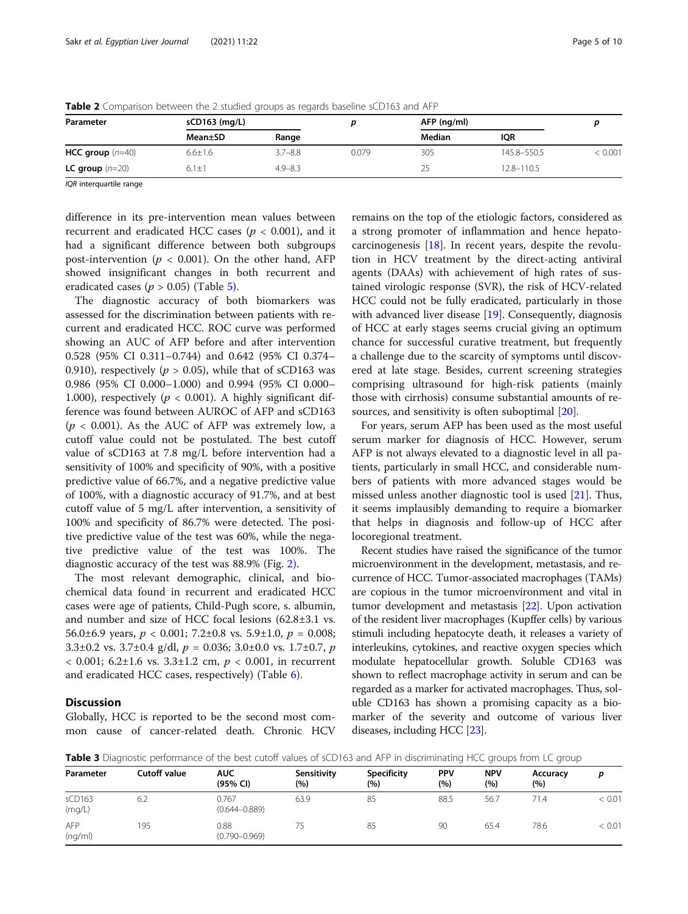| Parameter                | sCD163 (mg/L) |             |       | AFP (ng/ml) |                |       |
|--------------------------|---------------|-------------|-------|-------------|----------------|-------|
|                          | Mean±SD       | Range       |       | Median      | <b>IQR</b>     |       |
| HCC group $(n=40)$       | $6.6 \pm 1.6$ | $3.7 - 8.8$ | 0.079 | 305         | 145.8-550.5    | 0.001 |
| <b>LC</b> group $(n=20)$ | $6.1 \pm 1$   | $4.9 - 8.3$ |       | 25          | $12.8 - 110.5$ |       |

<span id="page-4-0"></span>**Table 2** Comparison between the 2 studied groups as regards baseline sCD163 and AFP

IQR interquartile range

difference in its pre-intervention mean values between recurrent and eradicated HCC cases ( $p < 0.001$ ), and it had a significant difference between both subgroups post-intervention ( $p < 0.001$ ). On the other hand, AFP showed insignificant changes in both recurrent and eradicated cases ( $p > 0.05$ ) (Table [5\)](#page-6-0).

The diagnostic accuracy of both biomarkers was assessed for the discrimination between patients with recurrent and eradicated HCC. ROC curve was performed showing an AUC of AFP before and after intervention 0.528 (95% CI 0.311–0.744) and 0.642 (95% CI 0.374– 0.910), respectively ( $p > 0.05$ ), while that of sCD163 was 0.986 (95% CI 0.000–1.000) and 0.994 (95% CI 0.000– 1.000), respectively ( $p < 0.001$ ). A highly significant difference was found between AUROC of AFP and sCD163  $(p < 0.001)$ . As the AUC of AFP was extremely low, a cutoff value could not be postulated. The best cutoff value of sCD163 at 7.8 mg/L before intervention had a sensitivity of 100% and specificity of 90%, with a positive predictive value of 66.7%, and a negative predictive value of 100%, with a diagnostic accuracy of 91.7%, and at best cutoff value of 5 mg/L after intervention, a sensitivity of 100% and specificity of 86.7% were detected. The positive predictive value of the test was 60%, while the negative predictive value of the test was 100%. The diagnostic accuracy of the test was 88.9% (Fig. [2\)](#page-6-0).

The most relevant demographic, clinical, and biochemical data found in recurrent and eradicated HCC cases were age of patients, Child-Pugh score, s. albumin, and number and size of HCC focal lesions (62.8±3.1 vs. 56.0 $\pm$ 6.9 years,  $p < 0.001$ ; 7.2 $\pm$ 0.8 vs. 5.9 $\pm$ 1.0,  $p = 0.008$ ; 3.3 $\pm$ 0.2 vs. 3.7 $\pm$ 0.4 g/dl,  $p = 0.036$ ; 3.0 $\pm$ 0.0 vs. 1.7 $\pm$ 0.7, p  $< 0.001$ ; 6.2±1.6 vs. 3.3±1.2 cm,  $p < 0.001$ , in recurrent and eradicated HCC cases, respectively) (Table [6\)](#page-7-0).

## **Discussion**

Globally, HCC is reported to be the second most common cause of cancer-related death. Chronic HCV remains on the top of the etiologic factors, considered as a strong promoter of inflammation and hence hepatocarcinogenesis [[18\]](#page-9-0). In recent years, despite the revolution in HCV treatment by the direct-acting antiviral agents (DAAs) with achievement of high rates of sustained virologic response (SVR), the risk of HCV-related HCC could not be fully eradicated, particularly in those with advanced liver disease [[19\]](#page-9-0). Consequently, diagnosis of HCC at early stages seems crucial giving an optimum chance for successful curative treatment, but frequently a challenge due to the scarcity of symptoms until discovered at late stage. Besides, current screening strategies comprising ultrasound for high-risk patients (mainly those with cirrhosis) consume substantial amounts of re-sources, and sensitivity is often suboptimal [\[20](#page-9-0)].

For years, serum AFP has been used as the most useful serum marker for diagnosis of HCC. However, serum AFP is not always elevated to a diagnostic level in all patients, particularly in small HCC, and considerable numbers of patients with more advanced stages would be missed unless another diagnostic tool is used [\[21\]](#page-9-0). Thus, it seems implausibly demanding to require a biomarker that helps in diagnosis and follow-up of HCC after locoregional treatment.

Recent studies have raised the significance of the tumor microenvironment in the development, metastasis, and recurrence of HCC. Tumor-associated macrophages (TAMs) are copious in the tumor microenvironment and vital in tumor development and metastasis [\[22](#page-9-0)]. Upon activation of the resident liver macrophages (Kupffer cells) by various stimuli including hepatocyte death, it releases a variety of interleukins, cytokines, and reactive oxygen species which modulate hepatocellular growth. Soluble CD163 was shown to reflect macrophage activity in serum and can be regarded as a marker for activated macrophages. Thus, soluble CD163 has shown a promising capacity as a biomarker of the severity and outcome of various liver diseases, including HCC [[23](#page-9-0)].

Table 3 Diagnostic performance of the best cutoff values of sCD163 and AFP in discriminating HCC groups from LC group

| Parameter             | <b>Cutoff value</b> | <b>AUC</b><br>(95% CI)     | Sensitivity<br>(%) | <b>Specificity</b><br>(%) | <b>PPV</b><br>(%) | <b>NPV</b><br>(%) | Accuracy<br>(%) | D      |
|-----------------------|---------------------|----------------------------|--------------------|---------------------------|-------------------|-------------------|-----------------|--------|
| sCD163<br>(mq/L)      | 6.2                 | 0.767<br>$(0.644 - 0.889)$ | 63.9               | 85                        | 88.5              | 56.7              | 71.4            | < 0.01 |
| <b>AFP</b><br>(nq/ml) | 195                 | 0.88<br>$(0.790 - 0.969)$  | 75                 | 85                        | 90                | 65.4              | 78.6            | < 0.01 |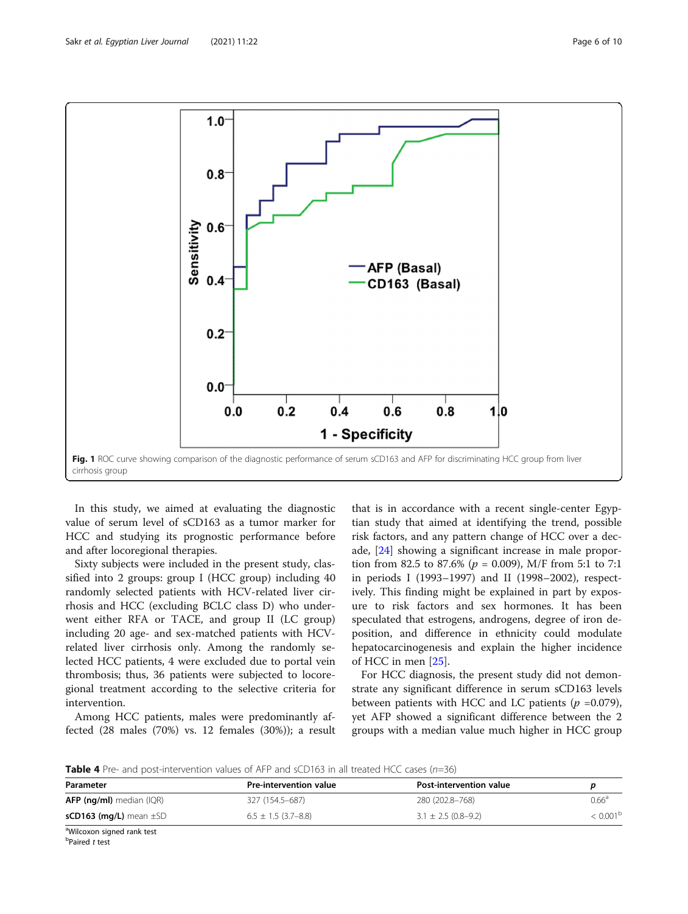<span id="page-5-0"></span>

In this study, we aimed at evaluating the diagnostic value of serum level of sCD163 as a tumor marker for HCC and studying its prognostic performance before and after locoregional therapies.

Sixty subjects were included in the present study, classified into 2 groups: group I (HCC group) including 40 randomly selected patients with HCV-related liver cirrhosis and HCC (excluding BCLC class D) who underwent either RFA or TACE, and group II (LC group) including 20 age- and sex-matched patients with HCVrelated liver cirrhosis only. Among the randomly selected HCC patients, 4 were excluded due to portal vein thrombosis; thus, 36 patients were subjected to locoregional treatment according to the selective criteria for intervention.

Among HCC patients, males were predominantly affected (28 males (70%) vs. 12 females (30%)); a result

that is in accordance with a recent single-center Egyptian study that aimed at identifying the trend, possible risk factors, and any pattern change of HCC over a decade, [[24\]](#page-9-0) showing a significant increase in male proportion from 82.5 to 87.6% ( $p = 0.009$ ), M/F from 5:1 to 7:1 in periods I (1993–1997) and II (1998–2002), respectively. This finding might be explained in part by exposure to risk factors and sex hormones. It has been speculated that estrogens, androgens, degree of iron deposition, and difference in ethnicity could modulate hepatocarcinogenesis and explain the higher incidence of HCC in men [\[25](#page-9-0)].

For HCC diagnosis, the present study did not demonstrate any significant difference in serum sCD163 levels between patients with HCC and LC patients ( $p = 0.079$ ), yet AFP showed a significant difference between the 2 groups with a median value much higher in HCC group

**Table 4** Pre- and post-intervention values of AFP and sCD163 in all treated HCC cases ( $n=36$ )

| Parameter                              | <b>Pre-intervention value</b> | <b>Post-intervention value</b> |                        |  |
|----------------------------------------|-------------------------------|--------------------------------|------------------------|--|
| $AFP$ (ng/ml) median (IQR)             | 327 (154.5–687)               | 280 (202.8-768)                | $0.66^{\circ}$         |  |
| $sCD163$ (mg/L) mean $\pm$ SD          | $6.5 \pm 1.5$ (3.7–8.8)       | $3.1 \pm 2.5$ (0.8–9.2)        | $< 0.001^{\mathrm{b}}$ |  |
| <sup>a</sup> Wilcoxon signed rank test |                               |                                |                        |  |

<sup>b</sup>Paired t test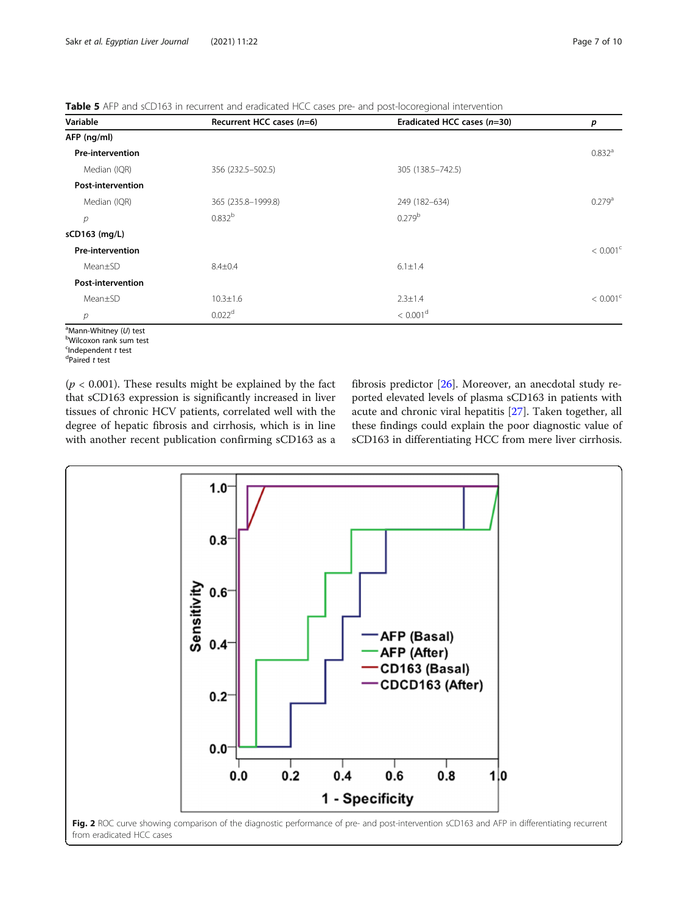<span id="page-6-0"></span>Table 5 AFP and sCD163 in recurrent and eradicated HCC cases pre- and post-locoregional intervention

| Variable                 | Recurrent HCC cases $(n=6)$ | Eradicated HCC cases $(n=30)$ | р                    |
|--------------------------|-----------------------------|-------------------------------|----------------------|
| AFP (ng/ml)              |                             |                               |                      |
| <b>Pre-intervention</b>  |                             |                               | $0.832$ <sup>a</sup> |
| Median (IQR)             | 356 (232.5-502.5)           | 305 (138.5 - 742.5)           |                      |
| <b>Post-intervention</b> |                             |                               |                      |
| Median (IQR)             | 365 (235.8-1999.8)          | 249 (182-634)                 | $0.279$ <sup>a</sup> |
| р                        | $0.832^{b}$                 | 0.279 <sup>b</sup>            |                      |
| sCD163 (mg/L)            |                             |                               |                      |
| <b>Pre-intervention</b>  |                             |                               | < 0.001 <sup>c</sup> |
| Mean±SD                  | $8.4 \pm 0.4$               | $6.1 \pm 1.4$                 |                      |
| <b>Post-intervention</b> |                             |                               |                      |
| Mean±SD                  | $10.3 \pm 1.6$              | $2.3 \pm 1.4$                 | < 0.001 <sup>c</sup> |
| р                        | 0.022 <sup>d</sup>          | < 0.001 <sup>d</sup>          |                      |

<sup>a</sup>Mann-Whitney (*U*) test<br><sup>b</sup>Wilcoxon rank sum tes

Wilcoxon rank sum test

<sup>c</sup>Independent *t* test<br><sup>d</sup>Paired *t* test  $d$ Paired t test

 $(p < 0.001)$ . These results might be explained by the fact that sCD163 expression is significantly increased in liver tissues of chronic HCV patients, correlated well with the degree of hepatic fibrosis and cirrhosis, which is in line with another recent publication confirming sCD163 as a fibrosis predictor [[26](#page-9-0)]. Moreover, an anecdotal study reported elevated levels of plasma sCD163 in patients with acute and chronic viral hepatitis [[27\]](#page-9-0). Taken together, all these findings could explain the poor diagnostic value of sCD163 in differentiating HCC from mere liver cirrhosis.

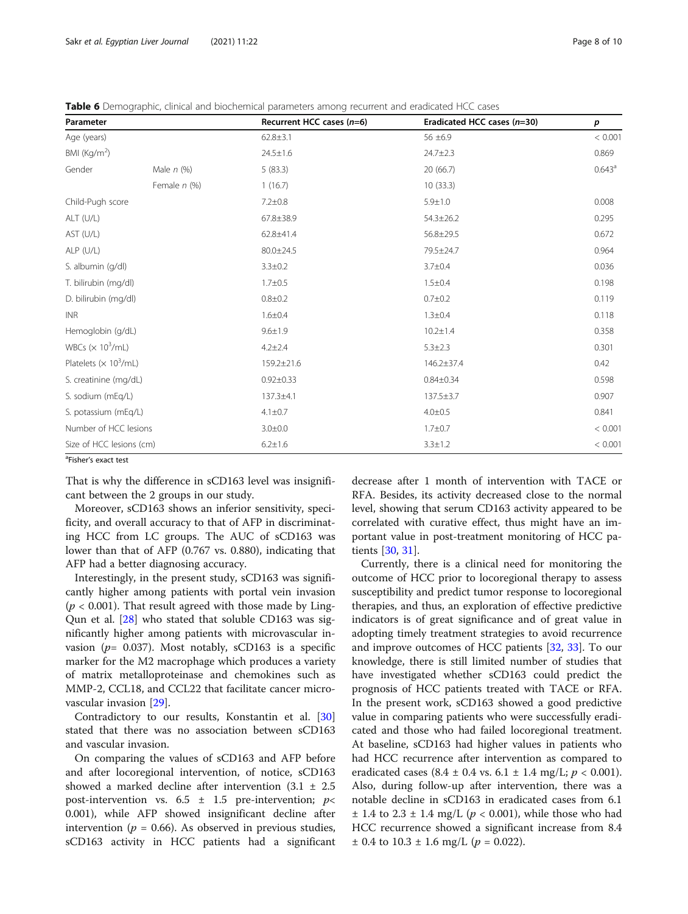<span id="page-7-0"></span>Table 6 Demographic, clinical and biochemical parameters among recurrent and eradicated HCC cases

| Parameter                                 |                | Recurrent HCC cases $(n=6)$ | Eradicated HCC cases (n=30) | p                  |  |
|-------------------------------------------|----------------|-----------------------------|-----------------------------|--------------------|--|
| Age (years)                               |                | $62.8 \pm 3.1$              | 56 ±6.9                     | < 0.001            |  |
| BMI ( $\text{Kg/m}^2$ )                   |                | $24.5 \pm 1.6$              | $24.7 \pm 2.3$              | 0.869              |  |
| Gender                                    | Male $n$ (%)   | 5(83.3)                     | 20 (66.7)                   | 0.643 <sup>a</sup> |  |
|                                           | Female $n$ (%) | 1(16.7)                     | 10(33.3)                    |                    |  |
| Child-Pugh score                          |                | $7.2 \pm 0.8$               | $5.9 + 1.0$                 | 0.008              |  |
| ALT (U/L)                                 |                | 67.8±38.9                   | $54.3 \pm 26.2$             | 0.295              |  |
| AST (U/L)                                 |                | 62.8±41.4                   | 56.8±29.5                   | 0.672              |  |
| $ALP$ (U/L)                               |                | 80.0±24.5                   | 79.5±24.7                   | 0.964              |  |
| S. albumin (g/dl)                         |                | $3.3 \pm 0.2$               | $3.7 + 0.4$                 | 0.036              |  |
| T. bilirubin (mg/dl)                      |                | $1.7 + 0.5$                 | $1.5 + 0.4$                 | 0.198              |  |
| D. bilirubin (mg/dl)                      |                | $0.8 + 0.2$                 | $0.7 + 0.2$                 | 0.119              |  |
| <b>INR</b>                                |                | $1.6 + 0.4$                 | $1.3 \pm 0.4$               | 0.118              |  |
| Hemoglobin (g/dL)                         |                | $9.6 \pm 1.9$               | $10.2 \pm 1.4$              | 0.358              |  |
| WBCs $(\times 10^3/\text{mL})$            |                | $4.2 \pm 2.4$               | $5.3 \pm 2.3$               | 0.301              |  |
| Platelets ( $\times$ 10 <sup>3</sup> /mL) |                | 159.2±21.6                  | $146.2 \pm 37.4$            | 0.42               |  |
| S. creatinine (mg/dL)                     |                | $0.92 \pm 0.33$             | $0.84 \pm 0.34$             | 0.598              |  |
| S. sodium (mEq/L)                         |                | 137.3±4.1                   | 137.5±3.7                   | 0.907              |  |
| S. potassium (mEq/L)                      |                | $4.1 \pm 0.7$               | $4.0 \pm 0.5$               | 0.841              |  |
| Number of HCC lesions                     |                | $3.0 + 0.0$                 | $1.7 + 0.7$                 | < 0.001            |  |
| Size of HCC lesions (cm)                  |                | $6.2 \pm 1.6$               | $3.3 \pm 1.2$               | < 0.001            |  |

<sup>a</sup>Fisher's exact test

That is why the difference in sCD163 level was insignificant between the 2 groups in our study.

Moreover, sCD163 shows an inferior sensitivity, specificity, and overall accuracy to that of AFP in discriminating HCC from LC groups. The AUC of sCD163 was lower than that of AFP (0.767 vs. 0.880), indicating that AFP had a better diagnosing accuracy.

Interestingly, in the present study, sCD163 was significantly higher among patients with portal vein invasion ( $p < 0.001$ ). That result agreed with those made by Ling-Qun et al. [\[28](#page-9-0)] who stated that soluble CD163 was significantly higher among patients with microvascular invasion ( $p=$  0.037). Most notably, sCD163 is a specific marker for the M2 macrophage which produces a variety of matrix metalloproteinase and chemokines such as MMP-2, CCL18, and CCL22 that facilitate cancer microvascular invasion [\[29](#page-9-0)].

Contradictory to our results, Konstantin et al. [[30](#page-9-0)] stated that there was no association between sCD163 and vascular invasion.

On comparing the values of sCD163 and AFP before and after locoregional intervention, of notice, sCD163 showed a marked decline after intervention  $(3.1 \pm 2.5)$ post-intervention vs.  $6.5 \pm 1.5$  pre-intervention;  $p$ < 0.001), while AFP showed insignificant decline after intervention ( $p = 0.66$ ). As observed in previous studies, sCD163 activity in HCC patients had a significant decrease after 1 month of intervention with TACE or RFA. Besides, its activity decreased close to the normal level, showing that serum CD163 activity appeared to be correlated with curative effect, thus might have an important value in post-treatment monitoring of HCC patients [\[30](#page-9-0), [31](#page-9-0)].

Currently, there is a clinical need for monitoring the outcome of HCC prior to locoregional therapy to assess susceptibility and predict tumor response to locoregional therapies, and thus, an exploration of effective predictive indicators is of great significance and of great value in adopting timely treatment strategies to avoid recurrence and improve outcomes of HCC patients [\[32,](#page-9-0) [33](#page-9-0)]. To our knowledge, there is still limited number of studies that have investigated whether sCD163 could predict the prognosis of HCC patients treated with TACE or RFA. In the present work, sCD163 showed a good predictive value in comparing patients who were successfully eradicated and those who had failed locoregional treatment. At baseline, sCD163 had higher values in patients who had HCC recurrence after intervention as compared to eradicated cases (8.4  $\pm$  0.4 vs. 6.1  $\pm$  1.4 mg/L;  $p < 0.001$ ). Also, during follow-up after intervention, there was a notable decline in sCD163 in eradicated cases from 6.1  $\pm$  1.4 to 2.3  $\pm$  1.4 mg/L ( $p$  < 0.001), while those who had HCC recurrence showed a significant increase from 8.4  $\pm$  0.4 to 10.3  $\pm$  1.6 mg/L ( $p = 0.022$ ).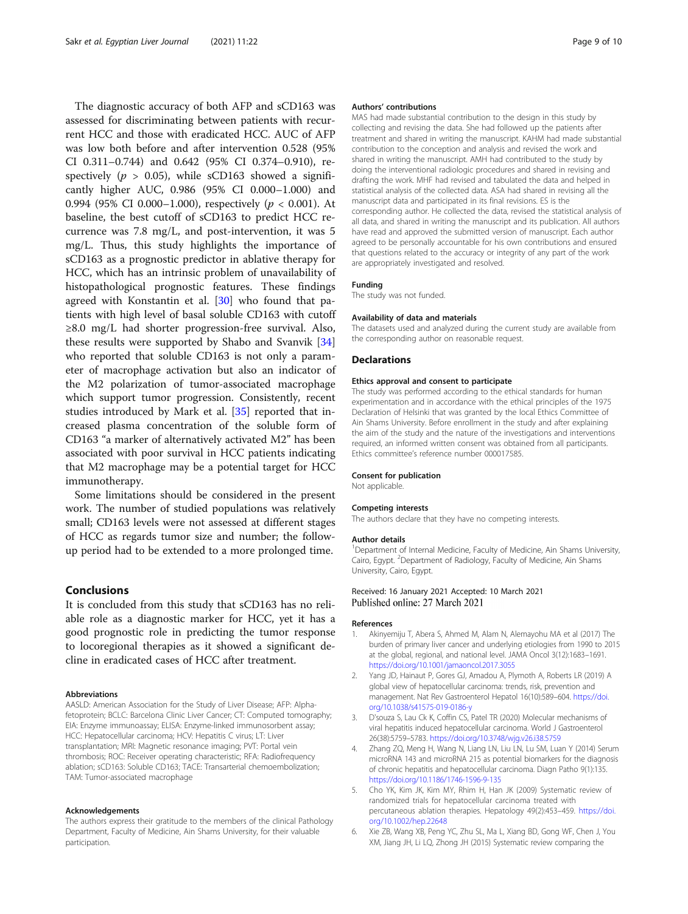<span id="page-8-0"></span>The diagnostic accuracy of both AFP and sCD163 was assessed for discriminating between patients with recurrent HCC and those with eradicated HCC. AUC of AFP was low both before and after intervention 0.528 (95% CI 0.311–0.744) and 0.642 (95% CI 0.374–0.910), respectively ( $p > 0.05$ ), while sCD163 showed a significantly higher AUC, 0.986 (95% CI 0.000–1.000) and 0.994 (95% CI 0.000–1.000), respectively ( $p < 0.001$ ). At baseline, the best cutoff of sCD163 to predict HCC recurrence was 7.8 mg/L, and post-intervention, it was 5 mg/L. Thus, this study highlights the importance of sCD163 as a prognostic predictor in ablative therapy for HCC, which has an intrinsic problem of unavailability of histopathological prognostic features. These findings agreed with Konstantin et al. [[30\]](#page-9-0) who found that patients with high level of basal soluble CD163 with cutoff ≥8.0 mg/L had shorter progression-free survival. Also, these results were supported by Shabo and Svanvik [[34](#page-9-0)] who reported that soluble CD163 is not only a parameter of macrophage activation but also an indicator of the M2 polarization of tumor-associated macrophage which support tumor progression. Consistently, recent studies introduced by Mark et al. [[35\]](#page-9-0) reported that increased plasma concentration of the soluble form of CD163 "a marker of alternatively activated M2" has been associated with poor survival in HCC patients indicating that M2 macrophage may be a potential target for HCC immunotherapy.

Some limitations should be considered in the present work. The number of studied populations was relatively small; CD163 levels were not assessed at different stages of HCC as regards tumor size and number; the followup period had to be extended to a more prolonged time.

# Conclusions

It is concluded from this study that sCD163 has no reliable role as a diagnostic marker for HCC, yet it has a good prognostic role in predicting the tumor response to locoregional therapies as it showed a significant decline in eradicated cases of HCC after treatment.

### Abbreviations

AASLD: American Association for the Study of Liver Disease; AFP: Alphafetoprotein; BCLC: Barcelona Clinic Liver Cancer; CT: Computed tomography; EIA: Enzyme immunoassay; ELISA: Enzyme-linked immunosorbent assay; HCC: Hepatocellular carcinoma; HCV: Hepatitis C virus; LT: Liver transplantation; MRI: Magnetic resonance imaging; PVT: Portal vein thrombosis; ROC: Receiver operating characteristic; RFA: Radiofrequency ablation; sCD163: Soluble CD163; TACE: Transarterial chemoembolization; TAM: Tumor-associated macrophage

#### Acknowledgements

The authors express their gratitude to the members of the clinical Pathology Department, Faculty of Medicine, Ain Shams University, for their valuable participation.

### Authors' contributions

MAS had made substantial contribution to the design in this study by collecting and revising the data. She had followed up the patients after treatment and shared in writing the manuscript. KAHM had made substantial contribution to the conception and analysis and revised the work and shared in writing the manuscript. AMH had contributed to the study by doing the interventional radiologic procedures and shared in revising and drafting the work. MHF had revised and tabulated the data and helped in statistical analysis of the collected data. ASA had shared in revising all the manuscript data and participated in its final revisions. ES is the corresponding author. He collected the data, revised the statistical analysis of all data, and shared in writing the manuscript and its publication. All authors have read and approved the submitted version of manuscript. Each author agreed to be personally accountable for his own contributions and ensured that questions related to the accuracy or integrity of any part of the work are appropriately investigated and resolved.

#### Funding

The study was not funded.

### Availability of data and materials

The datasets used and analyzed during the current study are available from the corresponding author on reasonable request.

### Declarations

### Ethics approval and consent to participate

The study was performed according to the ethical standards for human experimentation and in accordance with the ethical principles of the 1975 Declaration of Helsinki that was granted by the local Ethics Committee of Ain Shams University. Before enrollment in the study and after explaining the aim of the study and the nature of the investigations and interventions required, an informed written consent was obtained from all participants. Ethics committee's reference number 000017585.

#### Consent for publication

Not applicable.

### Competing interests

The authors declare that they have no competing interests.

#### Author details

<sup>1</sup>Department of Internal Medicine, Faculty of Medicine, Ain Shams University, Cairo, Egypt. <sup>2</sup>Department of Radiology, Faculty of Medicine, Ain Shams University, Cairo, Egypt.

## Received: 16 January 2021 Accepted: 10 March 2021 Published online: 27 March 2021

#### References

- 1. Akinyemiju T, Abera S, Ahmed M, Alam N, Alemayohu MA et al (2017) The burden of primary liver cancer and underlying etiologies from 1990 to 2015 at the global, regional, and national level. JAMA Oncol 3(12):1683–1691. <https://doi.org/10.1001/jamaoncol.2017.3055>
- Yang JD, Hainaut P, Gores GJ, Amadou A, Plymoth A, Roberts LR (2019) A global view of hepatocellular carcinoma: trends, risk, prevention and management. Nat Rev Gastroenterol Hepatol 16(10):589–604. [https://doi.](https://doi.org/10.1038/s41575-019-0186-y) [org/10.1038/s41575-019-0186-y](https://doi.org/10.1038/s41575-019-0186-y)
- 3. D'souza S, Lau Ck K, Coffin CS, Patel TR (2020) Molecular mechanisms of viral hepatitis induced hepatocellular carcinoma. World J Gastroenterol 26(38):5759–5783. <https://doi.org/10.3748/wjg.v26.i38.5759>
- Zhang ZQ, Meng H, Wang N, Liang LN, Liu LN, Lu SM, Luan Y (2014) Serum microRNA 143 and microRNA 215 as potential biomarkers for the diagnosis of chronic hepatitis and hepatocellular carcinoma. Diagn Patho 9(1):135. <https://doi.org/10.1186/1746-1596-9-135>
- 5. Cho YK, Kim JK, Kim MY, Rhim H, Han JK (2009) Systematic review of randomized trials for hepatocellular carcinoma treated with percutaneous ablation therapies. Hepatology 49(2):453–459. [https://doi.](https://doi.org/10.1002/hep.22648) [org/10.1002/hep.22648](https://doi.org/10.1002/hep.22648)
- 6. Xie ZB, Wang XB, Peng YC, Zhu SL, Ma L, Xiang BD, Gong WF, Chen J, You XM, Jiang JH, Li LQ, Zhong JH (2015) Systematic review comparing the